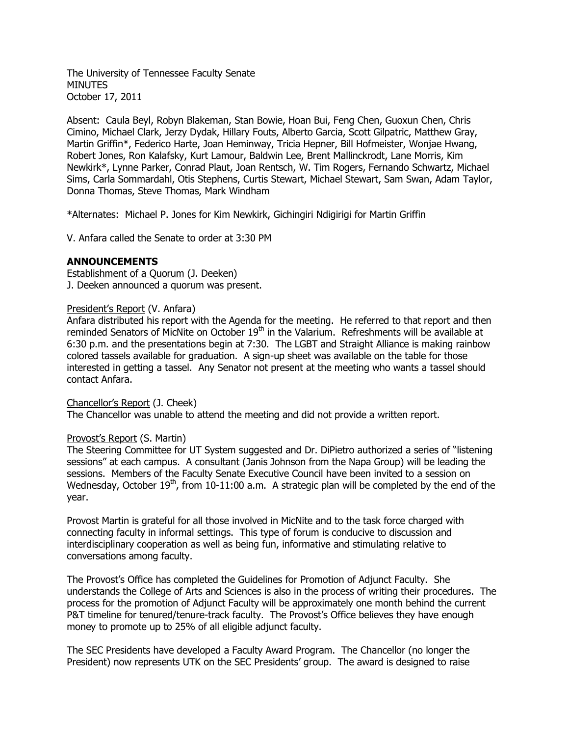The University of Tennessee Faculty Senate **MINUTES** October 17, 2011

Absent: Caula Beyl, Robyn Blakeman, Stan Bowie, Hoan Bui, Feng Chen, Guoxun Chen, Chris Cimino, Michael Clark, Jerzy Dydak, Hillary Fouts, Alberto Garcia, Scott Gilpatric, Matthew Gray, Martin Griffin\*, Federico Harte, Joan Heminway, Tricia Hepner, Bill Hofmeister, Wonjae Hwang, Robert Jones, Ron Kalafsky, Kurt Lamour, Baldwin Lee, Brent Mallinckrodt, Lane Morris, Kim Newkirk\*, Lynne Parker, Conrad Plaut, Joan Rentsch, W. Tim Rogers, Fernando Schwartz, Michael Sims, Carla Sommardahl, Otis Stephens, Curtis Stewart, Michael Stewart, Sam Swan, Adam Taylor, Donna Thomas, Steve Thomas, Mark Windham

\*Alternates: Michael P. Jones for Kim Newkirk, Gichingiri Ndigirigi for Martin Griffin

V. Anfara called the Senate to order at 3:30 PM

### **ANNOUNCEMENTS**

Establishment of a Quorum (J. Deeken) J. Deeken announced a quorum was present.

### President's Report (V. Anfara)

Anfara distributed his report with the Agenda for the meeting. He referred to that report and then reminded Senators of MicNite on October 19<sup>th</sup> in the Valarium. Refreshments will be available at 6:30 p.m. and the presentations begin at 7:30. The LGBT and Straight Alliance is making rainbow colored tassels available for graduation. A sign-up sheet was available on the table for those interested in getting a tassel. Any Senator not present at the meeting who wants a tassel should contact Anfara.

Chancellor's Report (J. Cheek) The Chancellor was unable to attend the meeting and did not provide a written report.

### Provost's Report (S. Martin)

The Steering Committee for UT System suggested and Dr. DiPietro authorized a series of "listening sessions" at each campus. A consultant (Janis Johnson from the Napa Group) will be leading the sessions. Members of the Faculty Senate Executive Council have been invited to a session on Wednesday, October  $19<sup>th</sup>$ , from 10-11:00 a.m. A strategic plan will be completed by the end of the year.

Provost Martin is grateful for all those involved in MicNite and to the task force charged with connecting faculty in informal settings. This type of forum is conducive to discussion and interdisciplinary cooperation as well as being fun, informative and stimulating relative to conversations among faculty.

The Provost's Office has completed the Guidelines for Promotion of Adjunct Faculty. She understands the College of Arts and Sciences is also in the process of writing their procedures. The process for the promotion of Adjunct Faculty will be approximately one month behind the current P&T timeline for tenured/tenure-track faculty. The Provost's Office believes they have enough money to promote up to 25% of all eligible adjunct faculty.

The SEC Presidents have developed a Faculty Award Program. The Chancellor (no longer the President) now represents UTK on the SEC Presidents' group. The award is designed to raise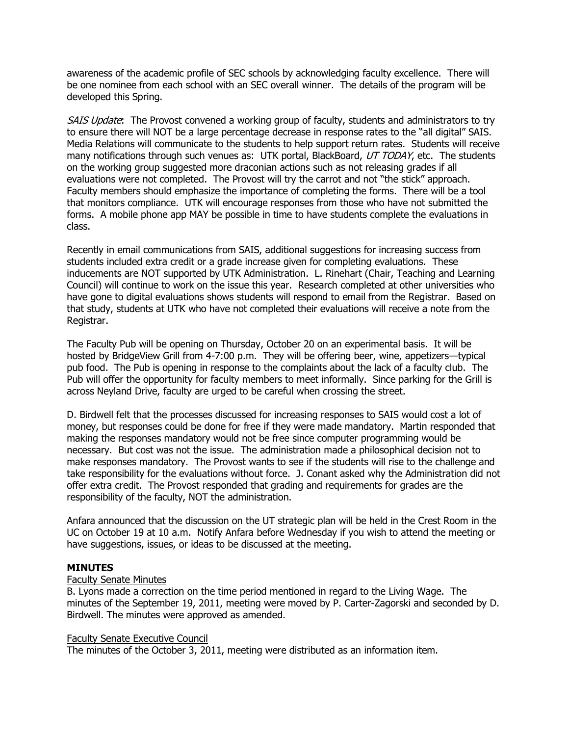awareness of the academic profile of SEC schools by acknowledging faculty excellence. There will be one nominee from each school with an SEC overall winner. The details of the program will be developed this Spring.

SAIS Update: The Provost convened a working group of faculty, students and administrators to try to ensure there will NOT be a large percentage decrease in response rates to the "all digital" SAIS. Media Relations will communicate to the students to help support return rates. Students will receive many notifications through such venues as: UTK portal, BlackBoard, UT TODAY, etc. The students on the working group suggested more draconian actions such as not releasing grades if all evaluations were not completed. The Provost will try the carrot and not "the stick" approach. Faculty members should emphasize the importance of completing the forms. There will be a tool that monitors compliance. UTK will encourage responses from those who have not submitted the forms. A mobile phone app MAY be possible in time to have students complete the evaluations in class.

Recently in email communications from SAIS, additional suggestions for increasing success from students included extra credit or a grade increase given for completing evaluations. These inducements are NOT supported by UTK Administration. L. Rinehart (Chair, Teaching and Learning Council) will continue to work on the issue this year. Research completed at other universities who have gone to digital evaluations shows students will respond to email from the Registrar. Based on that study, students at UTK who have not completed their evaluations will receive a note from the Registrar.

The Faculty Pub will be opening on Thursday, October 20 on an experimental basis. It will be hosted by BridgeView Grill from 4-7:00 p.m. They will be offering beer, wine, appetizers—typical pub food. The Pub is opening in response to the complaints about the lack of a faculty club. The Pub will offer the opportunity for faculty members to meet informally. Since parking for the Grill is across Neyland Drive, faculty are urged to be careful when crossing the street.

D. Birdwell felt that the processes discussed for increasing responses to SAIS would cost a lot of money, but responses could be done for free if they were made mandatory. Martin responded that making the responses mandatory would not be free since computer programming would be necessary. But cost was not the issue. The administration made a philosophical decision not to make responses mandatory. The Provost wants to see if the students will rise to the challenge and take responsibility for the evaluations without force. J. Conant asked why the Administration did not offer extra credit. The Provost responded that grading and requirements for grades are the responsibility of the faculty, NOT the administration.

Anfara announced that the discussion on the UT strategic plan will be held in the Crest Room in the UC on October 19 at 10 a.m. Notify Anfara before Wednesday if you wish to attend the meeting or have suggestions, issues, or ideas to be discussed at the meeting.

## **MINUTES**

### Faculty Senate Minutes

B. Lyons made a correction on the time period mentioned in regard to the Living Wage. The minutes of the September 19, 2011, meeting were moved by P. Carter-Zagorski and seconded by D. Birdwell. The minutes were approved as amended.

### Faculty Senate Executive Council

The minutes of the October 3, 2011, meeting were distributed as an information item.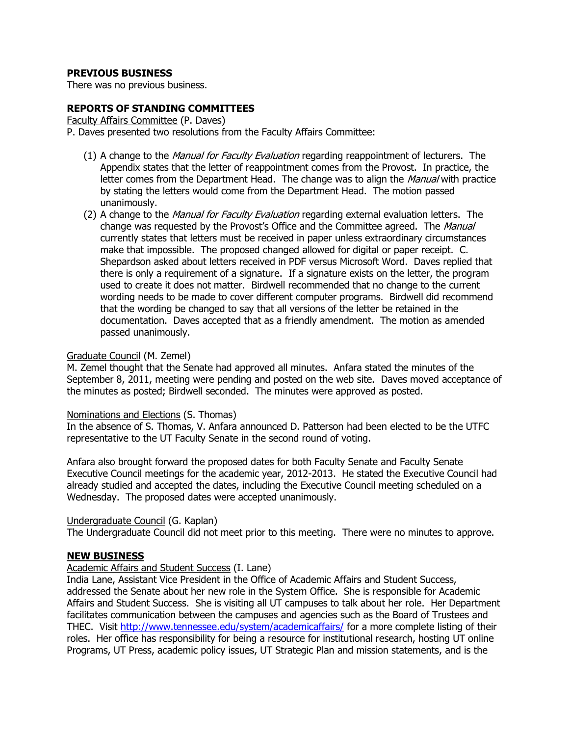# **PREVIOUS BUSINESS**

There was no previous business.

## **REPORTS OF STANDING COMMITTEES**

Faculty Affairs Committee (P. Daves)

P. Daves presented two resolutions from the Faculty Affairs Committee:

- (1) A change to the *Manual for Faculty Evaluation* regarding reappointment of lecturers. The Appendix states that the letter of reappointment comes from the Provost. In practice, the letter comes from the Department Head. The change was to align the *Manual* with practice by stating the letters would come from the Department Head. The motion passed unanimously.
- (2) A change to the *Manual for Faculty Evaluation* regarding external evaluation letters. The change was requested by the Provost's Office and the Committee agreed. The Manual currently states that letters must be received in paper unless extraordinary circumstances make that impossible. The proposed changed allowed for digital or paper receipt. C. Shepardson asked about letters received in PDF versus Microsoft Word. Daves replied that there is only a requirement of a signature. If a signature exists on the letter, the program used to create it does not matter. Birdwell recommended that no change to the current wording needs to be made to cover different computer programs. Birdwell did recommend that the wording be changed to say that all versions of the letter be retained in the documentation. Daves accepted that as a friendly amendment. The motion as amended passed unanimously.

### Graduate Council (M. Zemel)

M. Zemel thought that the Senate had approved all minutes. Anfara stated the minutes of the September 8, 2011, meeting were pending and posted on the web site. Daves moved acceptance of the minutes as posted; Birdwell seconded. The minutes were approved as posted.

### Nominations and Elections (S. Thomas)

In the absence of S. Thomas, V. Anfara announced D. Patterson had been elected to be the UTFC representative to the UT Faculty Senate in the second round of voting.

Anfara also brought forward the proposed dates for both Faculty Senate and Faculty Senate Executive Council meetings for the academic year, 2012-2013. He stated the Executive Council had already studied and accepted the dates, including the Executive Council meeting scheduled on a Wednesday. The proposed dates were accepted unanimously.

### Undergraduate Council (G. Kaplan)

The Undergraduate Council did not meet prior to this meeting. There were no minutes to approve.

### **NEW BUSINESS**

#### Academic Affairs and Student Success (I. Lane)

India Lane, Assistant Vice President in the Office of Academic Affairs and Student Success, addressed the Senate about her new role in the System Office. She is responsible for Academic Affairs and Student Success. She is visiting all UT campuses to talk about her role. Her Department facilitates communication between the campuses and agencies such as the Board of Trustees and THEC. Visit<http://www.tennessee.edu/system/academicaffairs/> for a more complete listing of their roles. Her office has responsibility for being a resource for institutional research, hosting UT online Programs, UT Press, academic policy issues, UT Strategic Plan and mission statements, and is the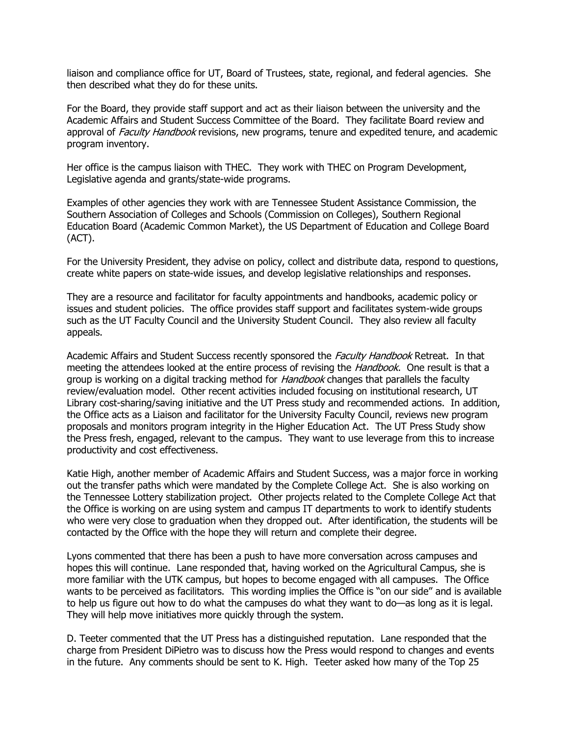liaison and compliance office for UT, Board of Trustees, state, regional, and federal agencies. She then described what they do for these units.

For the Board, they provide staff support and act as their liaison between the university and the Academic Affairs and Student Success Committee of the Board. They facilitate Board review and approval of *Faculty Handbook* revisions, new programs, tenure and expedited tenure, and academic program inventory.

Her office is the campus liaison with THEC. They work with THEC on Program Development, Legislative agenda and grants/state-wide programs.

Examples of other agencies they work with are Tennessee Student Assistance Commission, the Southern Association of Colleges and Schools (Commission on Colleges), Southern Regional Education Board (Academic Common Market), the US Department of Education and College Board (ACT).

For the University President, they advise on policy, collect and distribute data, respond to questions, create white papers on state-wide issues, and develop legislative relationships and responses.

They are a resource and facilitator for faculty appointments and handbooks, academic policy or issues and student policies. The office provides staff support and facilitates system-wide groups such as the UT Faculty Council and the University Student Council. They also review all faculty appeals.

Academic Affairs and Student Success recently sponsored the Faculty Handbook Retreat. In that meeting the attendees looked at the entire process of revising the *Handbook*. One result is that a group is working on a digital tracking method for *Handbook* changes that parallels the faculty review/evaluation model. Other recent activities included focusing on institutional research, UT Library cost-sharing/saving initiative and the UT Press study and recommended actions. In addition, the Office acts as a Liaison and facilitator for the University Faculty Council, reviews new program proposals and monitors program integrity in the Higher Education Act. The UT Press Study show the Press fresh, engaged, relevant to the campus. They want to use leverage from this to increase productivity and cost effectiveness.

Katie High, another member of Academic Affairs and Student Success, was a major force in working out the transfer paths which were mandated by the Complete College Act. She is also working on the Tennessee Lottery stabilization project. Other projects related to the Complete College Act that the Office is working on are using system and campus IT departments to work to identify students who were very close to graduation when they dropped out. After identification, the students will be contacted by the Office with the hope they will return and complete their degree.

Lyons commented that there has been a push to have more conversation across campuses and hopes this will continue. Lane responded that, having worked on the Agricultural Campus, she is more familiar with the UTK campus, but hopes to become engaged with all campuses. The Office wants to be perceived as facilitators. This wording implies the Office is "on our side" and is available to help us figure out how to do what the campuses do what they want to do—as long as it is legal. They will help move initiatives more quickly through the system.

D. Teeter commented that the UT Press has a distinguished reputation. Lane responded that the charge from President DiPietro was to discuss how the Press would respond to changes and events in the future. Any comments should be sent to K. High. Teeter asked how many of the Top 25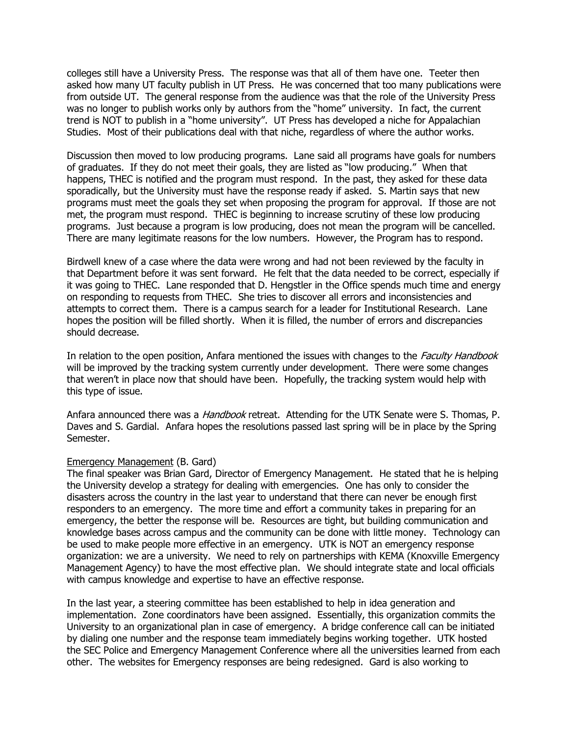colleges still have a University Press. The response was that all of them have one. Teeter then asked how many UT faculty publish in UT Press. He was concerned that too many publications were from outside UT. The general response from the audience was that the role of the University Press was no longer to publish works only by authors from the "home" university. In fact, the current trend is NOT to publish in a "home university". UT Press has developed a niche for Appalachian Studies. Most of their publications deal with that niche, regardless of where the author works.

Discussion then moved to low producing programs. Lane said all programs have goals for numbers of graduates. If they do not meet their goals, they are listed as "low producing." When that happens, THEC is notified and the program must respond. In the past, they asked for these data sporadically, but the University must have the response ready if asked. S. Martin says that new programs must meet the goals they set when proposing the program for approval. If those are not met, the program must respond. THEC is beginning to increase scrutiny of these low producing programs. Just because a program is low producing, does not mean the program will be cancelled. There are many legitimate reasons for the low numbers. However, the Program has to respond.

Birdwell knew of a case where the data were wrong and had not been reviewed by the faculty in that Department before it was sent forward. He felt that the data needed to be correct, especially if it was going to THEC. Lane responded that D. Hengstler in the Office spends much time and energy on responding to requests from THEC. She tries to discover all errors and inconsistencies and attempts to correct them. There is a campus search for a leader for Institutional Research. Lane hopes the position will be filled shortly. When it is filled, the number of errors and discrepancies should decrease.

In relation to the open position, Anfara mentioned the issues with changes to the *Faculty Handbook* will be improved by the tracking system currently under development. There were some changes that weren't in place now that should have been. Hopefully, the tracking system would help with this type of issue.

Anfara announced there was a *Handbook* retreat. Attending for the UTK Senate were S. Thomas, P. Daves and S. Gardial. Anfara hopes the resolutions passed last spring will be in place by the Spring Semester.

### Emergency Management (B. Gard)

The final speaker was Brian Gard, Director of Emergency Management. He stated that he is helping the University develop a strategy for dealing with emergencies. One has only to consider the disasters across the country in the last year to understand that there can never be enough first responders to an emergency. The more time and effort a community takes in preparing for an emergency, the better the response will be. Resources are tight, but building communication and knowledge bases across campus and the community can be done with little money. Technology can be used to make people more effective in an emergency. UTK is NOT an emergency response organization: we are a university. We need to rely on partnerships with KEMA (Knoxville Emergency Management Agency) to have the most effective plan. We should integrate state and local officials with campus knowledge and expertise to have an effective response.

In the last year, a steering committee has been established to help in idea generation and implementation. Zone coordinators have been assigned. Essentially, this organization commits the University to an organizational plan in case of emergency. A bridge conference call can be initiated by dialing one number and the response team immediately begins working together. UTK hosted the SEC Police and Emergency Management Conference where all the universities learned from each other. The websites for Emergency responses are being redesigned. Gard is also working to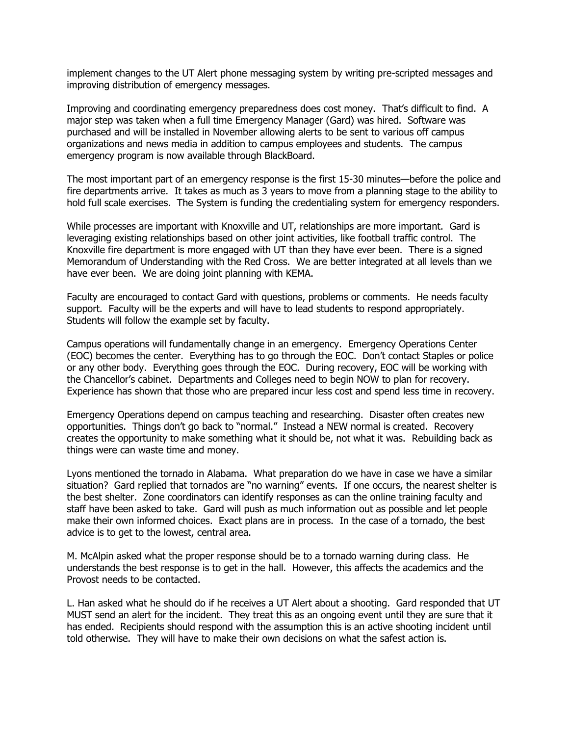implement changes to the UT Alert phone messaging system by writing pre-scripted messages and improving distribution of emergency messages.

Improving and coordinating emergency preparedness does cost money. That's difficult to find. A major step was taken when a full time Emergency Manager (Gard) was hired. Software was purchased and will be installed in November allowing alerts to be sent to various off campus organizations and news media in addition to campus employees and students. The campus emergency program is now available through BlackBoard.

The most important part of an emergency response is the first 15-30 minutes—before the police and fire departments arrive. It takes as much as 3 years to move from a planning stage to the ability to hold full scale exercises. The System is funding the credentialing system for emergency responders.

While processes are important with Knoxville and UT, relationships are more important. Gard is leveraging existing relationships based on other joint activities, like football traffic control. The Knoxville fire department is more engaged with UT than they have ever been. There is a signed Memorandum of Understanding with the Red Cross. We are better integrated at all levels than we have ever been. We are doing joint planning with KEMA.

Faculty are encouraged to contact Gard with questions, problems or comments. He needs faculty support. Faculty will be the experts and will have to lead students to respond appropriately. Students will follow the example set by faculty.

Campus operations will fundamentally change in an emergency. Emergency Operations Center (EOC) becomes the center. Everything has to go through the EOC. Don't contact Staples or police or any other body. Everything goes through the EOC. During recovery, EOC will be working with the Chancellor's cabinet. Departments and Colleges need to begin NOW to plan for recovery. Experience has shown that those who are prepared incur less cost and spend less time in recovery.

Emergency Operations depend on campus teaching and researching. Disaster often creates new opportunities. Things don't go back to "normal." Instead a NEW normal is created. Recovery creates the opportunity to make something what it should be, not what it was. Rebuilding back as things were can waste time and money.

Lyons mentioned the tornado in Alabama. What preparation do we have in case we have a similar situation? Gard replied that tornados are "no warning" events. If one occurs, the nearest shelter is the best shelter. Zone coordinators can identify responses as can the online training faculty and staff have been asked to take. Gard will push as much information out as possible and let people make their own informed choices. Exact plans are in process. In the case of a tornado, the best advice is to get to the lowest, central area.

M. McAlpin asked what the proper response should be to a tornado warning during class. He understands the best response is to get in the hall. However, this affects the academics and the Provost needs to be contacted.

L. Han asked what he should do if he receives a UT Alert about a shooting. Gard responded that UT MUST send an alert for the incident. They treat this as an ongoing event until they are sure that it has ended. Recipients should respond with the assumption this is an active shooting incident until told otherwise. They will have to make their own decisions on what the safest action is.